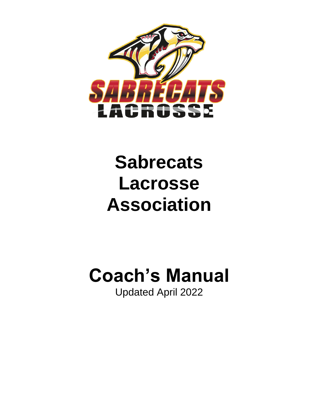

## **Sabrecats Lacrosse Association**

# **Coach's Manual**

Updated April 2022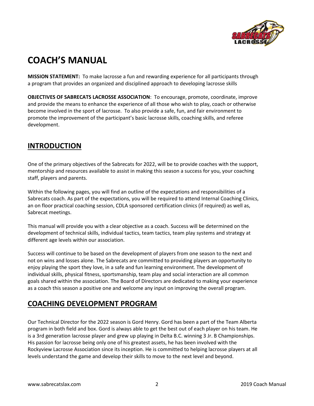

## **COACH'S MANUAL**

**MISSION STATEMENT:** To make lacrosse a fun and rewarding experience for all participants through a program that provides an organized and disciplined approach to developing lacrosse skills

**OBJECTIVES OF SABRECATS LACROSSE ASSOCIATION**: To encourage, promote, coordinate, improve and provide the means to enhance the experience of all those who wish to play, coach or otherwise become involved in the sport of lacrosse. To also provide a safe, fun, and fair environment to promote the improvement of the participant's basic lacrosse skills, coaching skills, and referee development.

## **INTRODUCTION**

One of the primary objectives of the Sabrecats for 2022, will be to provide coaches with the support, mentorship and resources available to assist in making this season a success for you, your coaching staff, players and parents.

Within the following pages, you will find an outline of the expectations and responsibilities of a Sabrecats coach. As part of the expectations, you will be required to attend Internal Coaching Clinics, an on floor practical coaching session, CDLA sponsored certification clinics (if required) as well as, Sabrecat meetings.

This manual will provide you with a clear objective as a coach. Success will be determined on the development of technical skills, individual tactics, team tactics, team play systems and strategy at different age levels within our association.

Success will continue to be based on the development of players from one season to the next and not on wins and losses alone. The Sabrecats are committed to providing players an opportunity to enjoy playing the sport they love, in a safe and fun learning environment. The development of individual skills, physical fitness, sportsmanship, team play and social interaction are all common goals shared within the association. The Board of Directors are dedicated to making your experience as a coach this season a positive one and welcome any input on improving the overall program.

## **COACHING DEVELOPMENT PROGRAM**

Our Technical Director for the 2022 season is Gord Henry. Gord has been a part of the Team Alberta program in both field and box. Gord is always able to get the best out of each player on his team. He is a 3rd generation lacrosse player and grew up playing in Delta B.C. winning 3 Jr. B Championships. His passion for lacrosse being only one of his greatest assets, he has been involved with the Rockyview Lacrosse Association since its inception. He is committed to helping lacrosse players at all levels understand the game and develop their skills to move to the next level and beyond.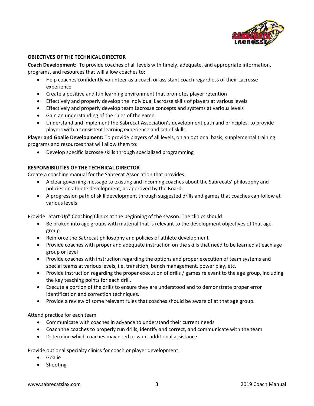

#### **OBJECTIVES OF THE TECHNICAL DIRECTOR**

**Coach Development:** To provide coaches of all levels with timely, adequate, and appropriate information, programs, and resources that will allow coaches to:

- Help coaches confidently volunteer as a coach or assistant coach regardless of their Lacrosse experience
- Create a positive and fun learning environment that promotes player retention
- Effectively and properly develop the individual Lacrosse skills of players at various levels
- Effectively and properly develop team Lacrosse concepts and systems at various levels
- Gain an understanding of the rules of the game
- Understand and implement the Sabrecat Association's development path and principles, to provide players with a consistent learning experience and set of skills.

**Player and Goalie Development:** To provide players of all levels, on an optional basis, supplemental training programs and resources that will allow them to:

• Develop specific lacrosse skills through specialized programming

#### **RESPONSIBILITIES OF THE TECHNICAL DIRECTOR**

Create a coaching manual for the Sabrecat Association that provides:

- A clear governing message to existing and incoming coaches about the Sabrecats' philosophy and policies on athlete development, as approved by the Board.
- A progression path of skill development through suggested drills and games that coaches can follow at various levels

Provide "Start-Up" Coaching Clinics at the beginning of the season. The clinics should:

- Be broken into age groups with material that is relevant to the development objectives of that age group
- Reinforce the Sabrecat philosophy and policies of athlete development
- Provide coaches with proper and adequate instruction on the skills that need to be learned at each age group or level
- Provide coaches with instruction regarding the options and proper execution of team systems and special teams at various levels, i.e. transition, bench management, power play, etc.
- Provide instruction regarding the proper execution of drills / games relevant to the age group, including the key teaching points for each drill.
- Execute a portion of the drills to ensure they are understood and to demonstrate proper error identification and correction techniques.
- Provide a review of some relevant rules that coaches should be aware of at that age group.

Attend practice for each team

- Communicate with coaches in advance to understand their current needs
- Coach the coaches to properly run drills, identify and correct, and communicate with the team
- Determine which coaches may need or want additional assistance

Provide optional specialty clinics for coach or player development

- Goalie
- Shooting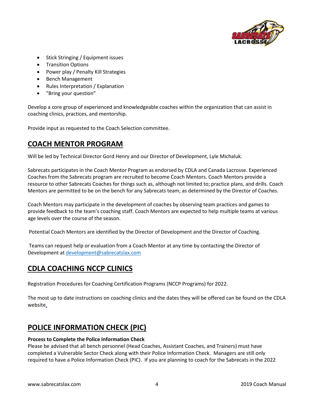

- Stick Stringing / Equipment issues
- Transition Options
- Power play / Penalty Kill Strategies
- Bench Management
- Rules Interpretation / Explanation
- "Bring your question"

Develop a core group of experienced and knowledgeable coaches within the organization that can assist in coaching clinics, practices, and mentorship.

Provide input as requested to the Coach Selection committee.

## **COACH MENTOR PROGRAM**

Will be led by Technical Director Gord Henry and our Director of Development, Lyle Michaluk.

Sabrecats participates in the Coach Mentor Program as endorsed by CDLA and Canada Lacrosse. Experienced Coaches from the Sabrecats program are recruited to become Coach Mentors. Coach Mentors provide a resource to other Sabrecats Coaches for things such as, although not limited to; practice plans, and drills. Coach Mentors are permitted to be on the bench for any Sabrecats team; as determined by the Director of Coaches.

Coach Mentors may participate in the development of coaches by observing team practices and games to provide feedback to the team's coaching staff. Coach Mentors are expected to help multiple teams at various age levels over the course of the season.

Potential Coach Mentors are identified by the Director of Development and the Director of Coaching.

Teams can request help or evaluation from a Coach Mentor at any time by contacting the Director of Development a[t development@sabrecatslax.com](mailto:development@sabrecatslax.com)

## **CDLA COACHING NCCP CLINICS**

Registration Procedures for Coaching Certification Programs (NCCP Programs) for 2022.

The most up to date instructions on coaching clinics and the dates they will be offered can be found on the CDLA website.

## **POLICE INFORMATION CHECK (PIC)**

#### **Process to Complete the Police Information Check**

Please be advised that all bench personnel (Head Coaches, Assistant Coaches, and Trainers) must have completed a Vulnerable Sector Check along with their Police Information Check. Managers are still only required to have a Police Information Check (PIC). If you are planning to coach for the Sabrecats in the 2022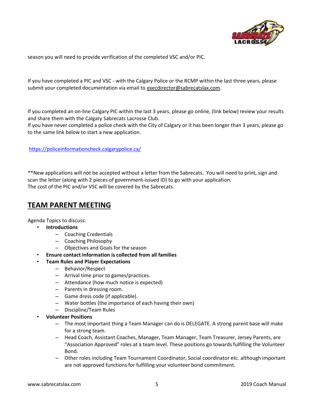

season you will need to provide verification of the completed VSC and/or PIC.

If you have completed a PIC and VSC - with the Calgary Police or the RCMP within the last three years, please submit your completed documentation via email to [execdirector@sabrecatslax.com.](mailto:execdirector@sabrecatslax.com)

If you completed an on-line Calgary PIC within the last 3 years, please go online, (link below) review your results and share them with the Calgary Sabrecats Lacrosse Club.

If you have never completed a police check with the City of Calgary or it has been longer than 3 years, please go to the same link below to start a new application.

#### <https://policeinformationcheck.calgarypolice.ca/>

\*\*New applications will not be accepted without a letter from the Sabrecats. You will need to print, sign and scan the letter (along with 2 pieces of government-issued ID) to go with your application. The cost of the PIC and/or VSC will be covered by the Sabrecats.

### **TEAM PARENT MEETING**

Agenda Topics to discuss:

- **Introductions** 
	- Coaching Credentials
	- Coaching Philosophy
	- Objectives and Goals for the season
- **Ensure contact information is collected from all families**
- **Team Rules and Player Expectations**
	- Behavior/Respect
	- Arrival time prior to games/practices.
	- Attendance (how much notice is expected)
	- Parents in dressing room.
	- Game dress code (if applicable).
	- Water bottles (the importance of each having their own)
	- Discipline/Team Rules
- **Volunteer Positions**
	- The most important thing a Team Manager can do is DELEGATE. A strong parent base will make for a strong team.
	- Head Coach, Assistant Coaches, Manager, Team Manager, Team Treasurer, Jersey Parents, are "Association Approved" roles at a team level. These positions go towards fulfilling the Volunteer Bond.
	- Other roles including Team Tournament Coordinator, Social coordinator etc. although important are not approved functions for fulfilling your volunteer bond commitment.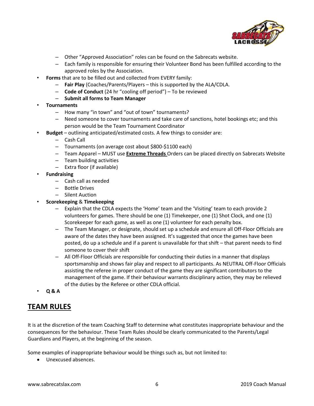

- Other "Approved Association" roles can be found on the Sabrecats website.
- Each family is responsible for ensuring their Volunteer Bond has been fulfilled according to the approved roles by the Association.
- **Forms** that are to be filled out and collected from EVERY family:
	- **Fair Play** (Coaches/Parents/Players this is supported by the ALA/CDLA.
	- **Code of Conduct** (24 hr "cooling off period") To be reviewed
	- **Submit all forms to Team Manager**
- **Tournaments**
	- How many "in town" and "out of town" tournaments?
	- Need someone to cover tournaments and take care of sanctions, hotel bookings etc; and this person would be the Team Tournament Coordinator
	- **Budget**  outlining anticipated/estimated costs. A few things to consider are:
		- Cash Call
		- Tournaments (on average cost about \$800-\$1100 each)
		- Team Apparel MUST use **Extreme Threads** Orders can be placed directly on Sabrecats Website
		- Team building activities
		- Extra floor (if available)
- **Fundraising**
	- Cash call as needed
	- Bottle Drives
	- Silent Auction
- **Scorekeeping** & **Timekeeping**
	- Explain that the CDLA expects the 'Home' team and the 'Visiting' team to each provide 2 volunteers for games. There should be one (1) Timekeeper, one (1) Shot Clock, and one (1) Scorekeeper for each game, as well as one (1) volunteer for each penalty box.
	- The Team Manager, or designate, should set up a schedule and ensure all Off-Floor Officials are aware of the dates they have been assigned. It's suggested that once the games have been posted, do up a schedule and if a parent is unavailable for that shift – that parent needs to find someone to cover their shift
	- All Off-Floor Officials are responsible for conducting their duties in a manner that displays sportsmanship and shows fair play and respect to all participants. As NEUTRAL Off-Floor Officials assisting the referee in proper conduct of the game they are significant contributors to the management of the game. If their behaviour warrants disciplinary action, they may be relieved of the duties by the Referee or other CDLA official.
- **Q & A**

## **TEAM RULES**

It is at the discretion of the team Coaching Staff to determine what constitutes inappropriate behaviour and the consequences for the behaviour. These Team Rules should be clearly communicated to the Parents/Legal Guardians and Players, at the beginning of the season.

Some examples of inappropriate behaviour would be things such as, but not limited to:

• Unexcused absences.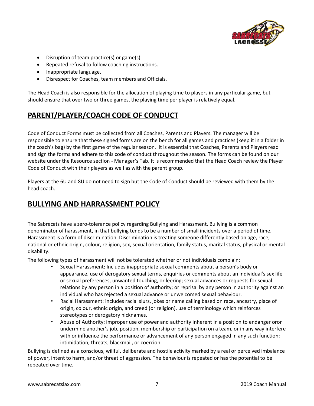

- Disruption of team practice(s) or game(s).
- Repeated refusal to follow coaching instructions.
- Inappropriate language.
- Disrespect for Coaches, team members and Officials.

The Head Coach is also responsible for the allocation of playing time to players in any particular game, but should ensure that over two or three games, the playing time per player is relatively equal.

## **PARENT/PLAYER/COACH CODE OF CONDUCT**

Code of Conduct Forms must be collected from all Coaches, Parents and Players. The manager will be responsible to ensure that these signed forms are on the bench for all games and practices (keep it in a folder in the coach's bag) by the first game of the regular season. It is essential that Coaches, Parents and Players read and sign the forms and adhere to this code of conduct throughout the season. The forms can be found on our website under the Resource section - Manager's Tab. It is recommended that the Head Coach review the Player Code of Conduct with their players as well as with the parent group.

Players at the 6U and 8U do not need to sign but the Code of Conduct should be reviewed with them by the head coach.

## **BULLYING AND HARRASSMENT POLICY**

The Sabrecats have a zero-tolerance policy regarding Bullying and Harassment. Bullying is a common denominator of harassment, in that bullying tends to be a number of small incidents over a period of time. Harassment is a form of discrimination. Discrimination is treating someone differently based on age, race, national or ethnic origin, colour, religion, sex, sexual orientation, family status, marital status, physical or mental disability.

The following types of harassment will not be tolerated whether or not individuals complain:

- Sexual Harassment: Includes inappropriate sexual comments about a person's body or appearance, use of derogatory sexual terms, enquiries or comments about an individual's sex life or sexual preferences, unwanted touching, or leering; sexual advances or requests for sexual relations by any person in a position of authority; or reprisal by any person in authority against an individual who has rejected a sexual advance or unwelcomed sexual behaviour.
- Racial Harassment: includes racial slurs, jokes or name calling based on race, ancestry, place of origin, colour, ethnic origin, and creed (or religion), use of terminology which reinforces stereotypes or derogatory nicknames.
- Abuse of Authority: improper use of power and authority inherent in a position to endanger oror undermine another's job, position, membership or participation on a team, or in any way interfere with or influence the performance or advancement of any person engaged in any such function; intimidation, threats, blackmail, or coercion.

Bullying is defined as a conscious, willful, deliberate and hostile activity marked by a real or perceived imbalance of power, intent to harm, and/or threat of aggression. The behaviour is repeated or has the potential to be repeated over time.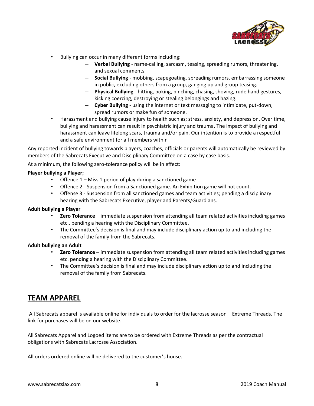

- Bullying can occur in many different forms including:
	- **Verbal Bullying**  name-calling, sarcasm, teasing, spreading rumors, threatening, and sexual comments.
	- **Social Bullying**  mobbing, scapegoating, spreading rumors, embarrassing someone in public, excluding others from a group, ganging up and group teasing.
	- **Physical Bullying**  hitting, poking, pinching, chasing, shoving, rude hand gestures, kicking coercing, destroying or stealing belongings and hazing.
	- **Cyber Bullying**  using the internet or text messaging to intimidate, put-down, spread rumors or make fun of someone.
- Harassment and bullying cause injury to health such as; stress, anxiety, and depression. Over time, bullying and harassment can result in psychiatric injury and trauma. The impact of bullying and harassment can leave lifelong scars, trauma and/or pain. Our intention is to provide a respectful and a safe environment for all members within

Any reported incident of bullying towards players, coaches, officials or parents will automatically be reviewed by members of the Sabrecats Executive and Disciplinary Committee on a case by case basis.

At a minimum, the following zero-tolerance policy will be in effect:

#### **Player bullying a Player;**

- Offence 1 Miss 1 period of play during a sanctioned game
- Offence 2 Suspension from a Sanctioned game. An Exhibition game will not count.
- Offense 3 Suspension from all sanctioned games and team activities; pending a disciplinary hearing with the Sabrecats Executive, player and Parents/Guardians.

#### **Adult bullying a Player**

- **Zero Tolerance**  immediate suspension from attending all team related activities including games etc., pending a hearing with the Disciplinary Committee.
- The Committee's decision is final and may include disciplinary action up to and including the removal of the family from the Sabrecats.

#### **Adult bullying an Adult**

- **Zero Tolerance**  immediate suspension from attending all team related activities including games etc. pending a hearing with the Disciplinary Committee.
- The Committee's decision is final and may include disciplinary action up to and including the removal of the family from Sabrecats.

## **TEAM APPAREL**

All Sabrecats apparel is available online for individuals to order for the lacrosse season – Extreme Threads. The link for purchases will be on our website.

All Sabrecats Apparel and Logoed items are to be ordered with Extreme Threads as per the contractual obligations with Sabrecats Lacrosse Association.

All orders ordered online will be delivered to the customer's house.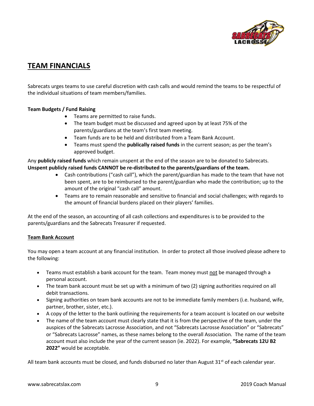

## **TEAM FINANCIALS**

Sabrecats urges teams to use careful discretion with cash calls and would remind the teams to be respectful of the individual situations of team members/families.

#### **Team Budgets / Fund Raising**

- Teams are permitted to raise funds.
- The team budget must be discussed and agreed upon by at least 75% of the parents/guardians at the team's first team meeting.
- Team funds are to be held and distributed from a Team Bank Account.
- Teams must spend the **publically raised funds** in the current season; as per the team's approved budget.

Any **publicly raised funds** which remain unspent at the end of the season are to be donated to Sabrecats. **Unspent publicly raised funds CANNOT be re-distributed to the parents/guardians of the team.** 

- Cash contributions ("cash call"), which the parent/guardian has made to the team that have not been spent, are to be reimbursed to the parent/guardian who made the contribution; up to the amount of the original "cash call" amount.
- Teams are to remain reasonable and sensitive to financial and social challenges; with regards to the amount of financial burdens placed on their players' families.

At the end of the season, an accounting of all cash collections and expenditures is to be provided to the parents/guardians and the Sabrecats Treasurer if requested.

#### **Team Bank Account**

You may open a team account at any financial institution. In order to protect all those involved please adhere to the following:

- Teams must establish a bank account for the team. Team money must not be managed through a personal account.
- The team bank account must be set up with a minimum of two (2) signing authorities required on all debit transactions.
- Signing authorities on team bank accounts are not to be immediate family members (i.e. husband, wife, partner, brother, sister, etc.).
- A copy of the letter to the bank outlining the requirements for a team account is located on our website
- The name of the team account must clearly state that it is from the perspective of the team, under the auspices of the Sabrecats Lacrosse Association, and not "Sabrecats Lacrosse Association" or "Sabrecats" or "Sabrecats Lacrosse" names, as these names belong to the overall Association. The name of the team account must also include the year of the current season (ie. 2022). For example, **"Sabrecats 12U B2 2022"** would be acceptable.

All team bank accounts must be closed, and funds disbursed no later than August  $31<sup>st</sup>$  of each calendar year.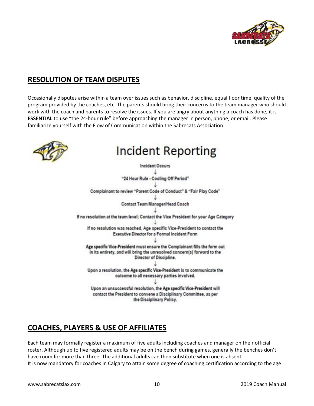

## **RESOLUTION OF TEAM DISPUTES**

Occasionally disputes arise within a team over issues such as behavior, discipline, equal floor time, quality of the program provided by the coaches, etc. The parents should bring their concerns to the team manager who should work with the coach and parents to resolve the issues. If you are angry about anything a coach has done, it is **ESSENTIAL** to use "the 24-hour rule" before approaching the manager in person, phone, or email. Please familiarize yourself with the Flow of Communication within the Sabrecats Association.



## **Incident Reporting**

**Incident Occurs** "24 Hour Rule - Cooling Off Period" Complainant to review "Parent Code of Conduct" & "Fair Play Code" Contact Team Manager/Head Coach If no resolution at the team level; Contact the Vice President for your Age Category If no resolution was reached, Age specific Vice-President to contact the Executive Director for a Formal Incident Form Age specific Vice-President must ensure the Complainant fills the form out in its entirety, and will bring the unresolved concern(s) forward to the Director of Discipline. Upon a resolution, the Age specific Vice-President is to communicate the outcome to all necessary parties involved. Upon an unsuccessful resolution, the Age specific Vice-President will contact the President to convene a Disciplinary Committee, as per the Disciplinary Policy.

## **COACHES, PLAYERS & USE OF AFFILIATES**

Each team may formally register a maximum of five adults including coaches and manager on their official roster. Although up to five registered adults may be on the bench during games, generally the benches don't have room for more than three. The additional adults can then substitute when one is absent. It is now mandatory for coaches in Calgary to attain some degree of coaching certification according to the age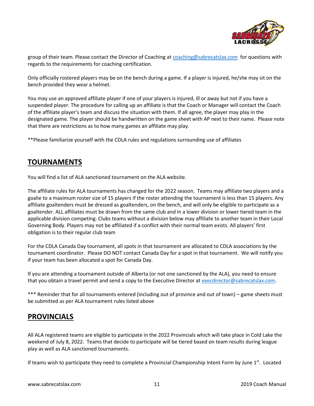

group of their team. Please contact the Director of Coaching at [coaching@sabrecatslax.com](mailto:coaching@sabrecatslax.com) for questions with regards to the requirements for coaching certification.

Only officially rostered players may be on the bench during a game. If a player is injured, he/she may sit on the bench provided they wear a helmet.

You may use an approved affiliate player if one of your players is injured, ill or away but not if you have a suspended player. The procedure for calling up an affiliate is that the Coach or Manager will contact the Coach of the affiliate player's team and discuss the situation with them. If all agree, the player may play in the designated game. The player should be handwritten on the game sheet with AP next to their name. Please note that there are restrictions as to how many games an affiliate may play.

\*\*Please familiarize yourself with the CDLA rules and regulations surrounding use of affiliates

## **TOURNAMENTS**

You will find a list of ALA sanctioned tournament on the ALA website.

The affiliate rules for ALA tournaments has changed for the 2022 season. Teams may affiliate two players and a goalie to a maximum roster size of 15 players if the roster attending the tournament is less than 15 players. Any affiliate goaltenders must be dressed as goaltenders, on the bench, and will only be eligible to participate as a goaltender. ALL affiliates must be drawn from the same club and in a lower division or lower tiered team in the applicable division competing. Clubs teams without a division below may affiliate to another team in their Local Governing Body. Players may not be affiliated if a conflict with their normal team exists. All players' first obligation is to their regular club team

For the CDLA Canada Day tournament, all spots in that tournament are allocated to CDLA associations by the tournament coordinator. Please DO NOT contact Canada Day for a spot in that tournament. We will notify you if your team has been allocated a spot for Canada Day.

If you are attending a tournament outside of Alberta (or not one sanctioned by the ALA), you need to ensure that you obtain a travel permit and send a copy to the Executive Director a[t execdirector@sabrecatslax.com.](mailto:execdirector@sabrecatslax.com)

\*\*\* Reminder that for all tournaments entered (including out of province and out of town) – game sheets must be submitted as per ALA tournament rules listed above

### **PROVINCIALS**

All ALA registered teams are eligible to participate in the 2022 Provincials which will take place in Cold Lake the weekend of July 8, 2022. Teams that decide to participate will be tiered based on team results during league play as well as ALA sanctioned tournaments.

If teams wish to participate they need to complete a Provincial Championship Intent Form by June 1<sup>st</sup>. Located